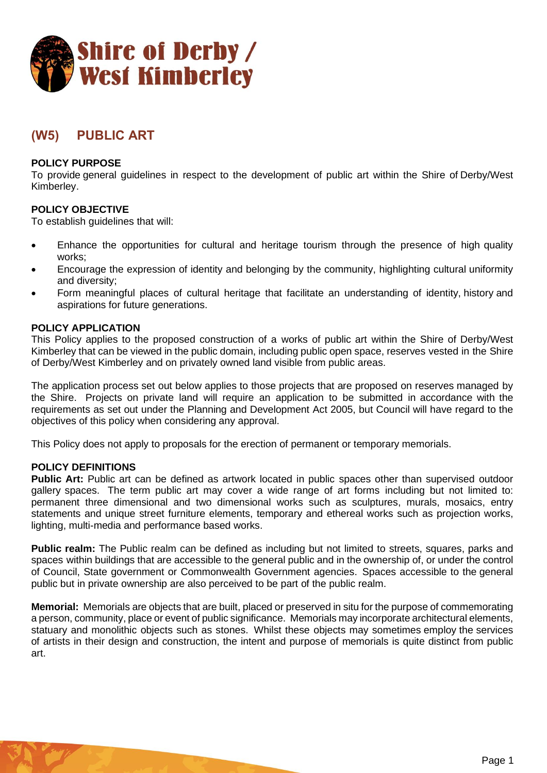

# **(W5) PUBLIC ART**

## **POLICY PURPOSE**

To provide general guidelines in respect to the development of public art within the Shire of Derby/West Kimberley.

## **POLICY OBJECTIVE**

To establish guidelines that will:

- Enhance the opportunities for cultural and heritage tourism through the presence of high quality works;
- Encourage the expression of identity and belonging by the community, highlighting cultural uniformity and diversity;
- Form meaningful places of cultural heritage that facilitate an understanding of identity, history and aspirations for future generations.

## **POLICY APPLICATION**

This Policy applies to the proposed construction of a works of public art within the Shire of Derby/West Kimberley that can be viewed in the public domain, including public open space, reserves vested in the Shire of Derby/West Kimberley and on privately owned land visible from public areas.

The application process set out below applies to those projects that are proposed on reserves managed by the Shire. Projects on private land will require an application to be submitted in accordance with the requirements as set out under the Planning and Development Act 2005, but Council will have regard to the objectives of this policy when considering any approval.

This Policy does not apply to proposals for the erection of permanent or temporary memorials.

#### **POLICY DEFINITIONS**

**Public Art:** Public art can be defined as artwork located in public spaces other than supervised outdoor gallery spaces. The term public art may cover a wide range of art forms including but not limited to: permanent three dimensional and two dimensional works such as sculptures, murals, mosaics, entry statements and unique street furniture elements, temporary and ethereal works such as projection works, lighting, multi-media and performance based works.

**Public realm:** The Public realm can be defined as including but not limited to streets, squares, parks and spaces within buildings that are accessible to the general public and in the ownership of, or under the control of Council, State government or Commonwealth Government agencies. Spaces accessible to the general public but in private ownership are also perceived to be part of the public realm.

**Memorial:** Memorials are objects that are built, placed or preserved in situ for the purpose of commemorating a person, community, place or event of public significance. Memorials may incorporate architectural elements, statuary and monolithic objects such as stones. Whilst these objects may sometimes employ the services of artists in their design and construction, the intent and purpose of memorials is quite distinct from public art.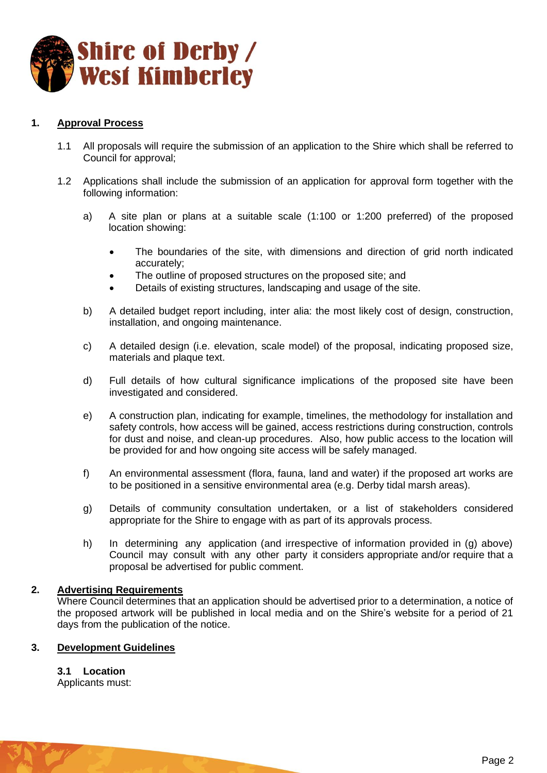

# **1. Approval Process**

- 1.1 All proposals will require the submission of an application to the Shire which shall be referred to Council for approval;
- 1.2 Applications shall include the submission of an application for approval form together with the following information:
	- a) A site plan or plans at a suitable scale (1:100 or 1:200 preferred) of the proposed location showing:
		- The boundaries of the site, with dimensions and direction of grid north indicated accurately;
		- The outline of proposed structures on the proposed site; and
		- Details of existing structures, landscaping and usage of the site.
	- b) A detailed budget report including, inter alia: the most likely cost of design, construction, installation, and ongoing maintenance.
	- c) A detailed design (i.e. elevation, scale model) of the proposal, indicating proposed size, materials and plaque text.
	- d) Full details of how cultural significance implications of the proposed site have been investigated and considered.
	- e) A construction plan, indicating for example, timelines, the methodology for installation and safety controls, how access will be gained, access restrictions during construction, controls for dust and noise, and clean-up procedures. Also, how public access to the location will be provided for and how ongoing site access will be safely managed.
	- f) An environmental assessment (flora, fauna, land and water) if the proposed art works are to be positioned in a sensitive environmental area (e.g. Derby tidal marsh areas).
	- g) Details of community consultation undertaken, or a list of stakeholders considered appropriate for the Shire to engage with as part of its approvals process.
	- h) In determining any application (and irrespective of information provided in (g) above) Council may consult with any other party it considers appropriate and/or require that a proposal be advertised for public comment.

#### **2. Advertising Requirements**

Where Council determines that an application should be advertised prior to a determination, a notice of the proposed artwork will be published in local media and on the Shire's website for a period of 21 days from the publication of the notice.

## **3. Development Guidelines**

**3.1 Location**

Applicants must: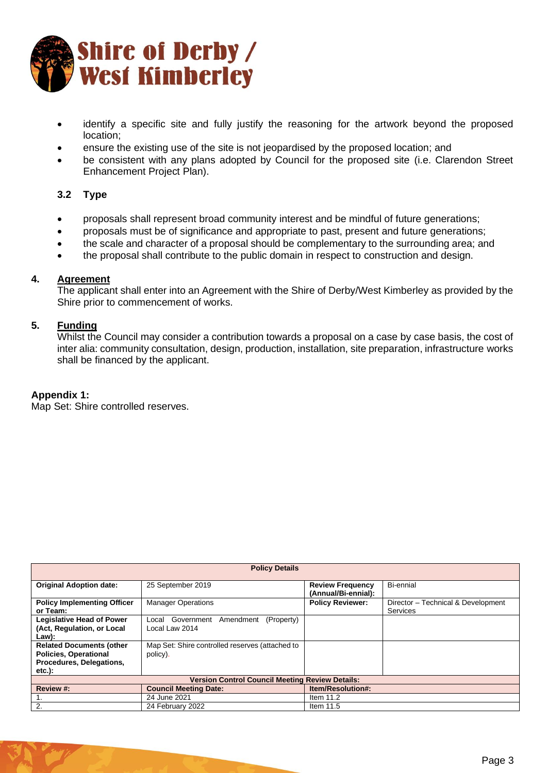

- identify a specific site and fully justify the reasoning for the artwork beyond the proposed location;
- ensure the existing use of the site is not jeopardised by the proposed location; and
- be consistent with any plans adopted by Council for the proposed site (i.e. Clarendon Street Enhancement Project Plan).

## **3.2 Type**

- proposals shall represent broad community interest and be mindful of future generations;
- proposals must be of significance and appropriate to past, present and future generations;
- the scale and character of a proposal should be complementary to the surrounding area; and
- the proposal shall contribute to the public domain in respect to construction and design.

## **4. Agreement**

The applicant shall enter into an Agreement with the Shire of Derby/West Kimberley as provided by the Shire prior to commencement of works.

#### **5. Funding**

Whilst the Council may consider a contribution towards a proposal on a case by case basis, the cost of inter alia: community consultation, design, production, installation, site preparation, infrastructure works shall be financed by the applicant.

#### **Appendix 1:**

Map Set: Shire controlled reserves.

| <b>Policy Details</b>                                                                                    |                                                                  |                                                |                                                |
|----------------------------------------------------------------------------------------------------------|------------------------------------------------------------------|------------------------------------------------|------------------------------------------------|
| <b>Original Adoption date:</b>                                                                           | 25 September 2019                                                | <b>Review Frequency</b><br>(Annual/Bi-ennial): | Bi-ennial                                      |
| <b>Policy Implementing Officer</b><br>or Team:                                                           | <b>Manager Operations</b>                                        | <b>Policy Reviewer:</b>                        | Director - Technical & Development<br>Services |
| <b>Legislative Head of Power</b><br>(Act, Regulation, or Local<br>Law):                                  | (Property)<br>Amendment<br>Government<br>Local<br>Local Law 2014 |                                                |                                                |
| <b>Related Documents (other</b><br><b>Policies, Operational</b><br>Procedures, Delegations,<br>$etc.$ ): | Map Set: Shire controlled reserves (attached to<br>policy).      |                                                |                                                |
| <b>Version Control Council Meeting Review Details:</b>                                                   |                                                                  |                                                |                                                |
| Review #:                                                                                                | <b>Council Meeting Date:</b>                                     | <b>Item/Resolution#:</b>                       |                                                |
|                                                                                                          | 24 June 2021                                                     | Item $11.2$                                    |                                                |
| 2.                                                                                                       | 24 February 2022                                                 | Item $11.5$                                    |                                                |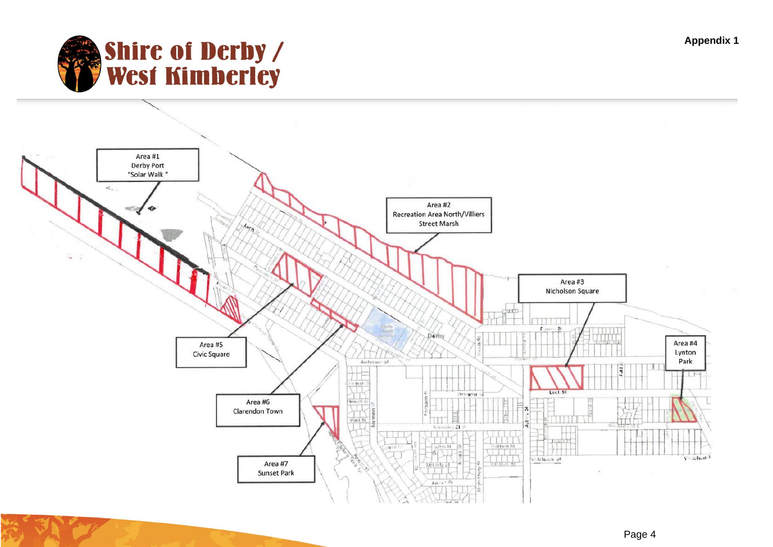**Appendix 1**